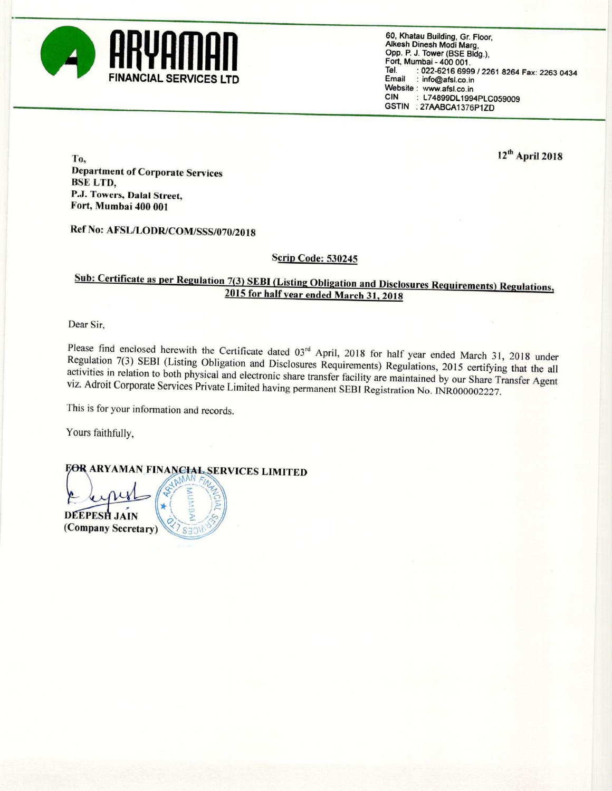

60, Khatau Building, Gr. Floor. Alkesh Dinesh Modi Marg, Opp. P. J. Tower (BSE Bldg.), Fort, Mumbai - 400 001. Tel. : 022-6216 6999 / 2261 8264 Fax: 2263 0434<br>
FINANCIAL SERVICES LTD<br>
Website : www.afsl.co.in<br>
CIN : L74899DL1994PLC059009 : L74899DL1994PLC059009 GSTIN : 27AABCA1376P1ZD

 $12<sup>th</sup>$  April 2018 Department of Corporate Services BSE LTD, P.J. Towers. Dalal Street. Fort, Mumbai 400 001

Ref No: AFSL/LODR/COM/SSS/070/2018

## Scrip Code: 530245

## Sub: Certificate as per Regulation 7(3) SEBI (Listing Obligation and Disclosures Requirements) Regulations, <sup>2015</sup> for halfyear ended March 31, <sup>2018</sup>

Dear Sir,

Please find enclosed herewith the Certificate dated  $03^{rd}$  April, 2018 for half year ended March 31, 2018 under<br>Regulation 7(3) SEBI (Listing Obligation and Disclosures Requirements) Regulations, 2015 certifying that the viz. Adroit Corporate Services Private Limited having permanent SEBI Registration No. INR000002227.

This is for your information and records.

Yours faithfully,

**FOR ARYAMAN FINANCHAL SERVICES LIMITED** 

 $\frac{15}{2}$ 

 $24.041 - 12.8$ DEEPESH JAIN (Company Secretary) <7 S